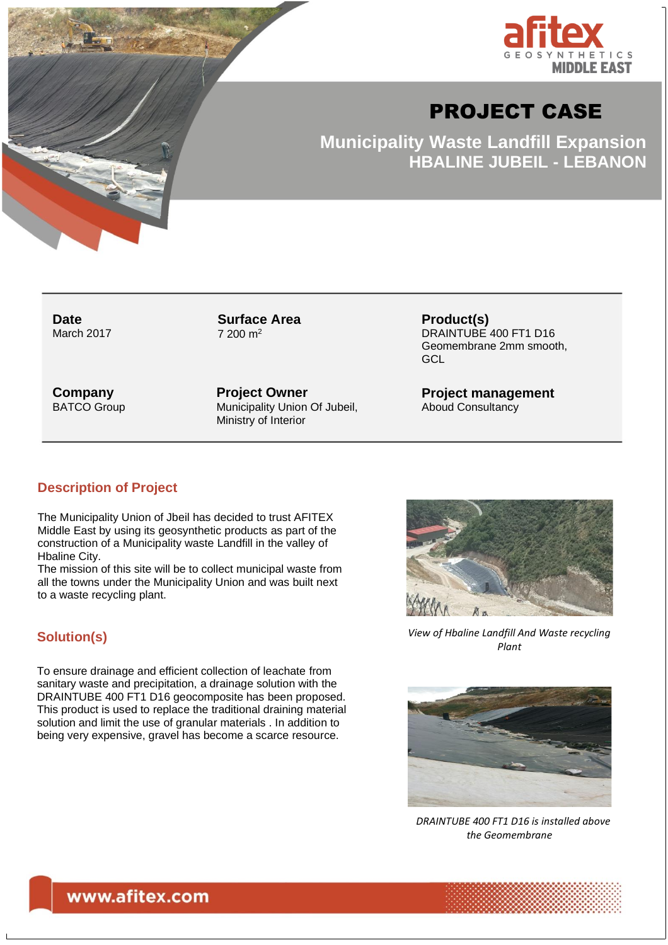

# PROJECT CASE

**Municipality Waste Landfill Expansion HBALINE JUBEIL - LEBANON**

**Date** March 2017 **Surface Area** 7 200 m<sup>2</sup>

**Product(s)** DRAINTUBE 400 FT1 D16 Geomembrane 2mm smooth, **GCL** 

**Company** BATCO Group **Project Owner** Municipality Union Of Jubeil, Ministry of Interior

**Project management** Aboud Consultancy

#### **Description of Project**

The Municipality Union of Jbeil has decided to trust AFITEX Middle East by using its geosynthetic products as part of the construction of a Municipality waste Landfill in the valley of Hbaline City.

The mission of this site will be to collect municipal waste from all the towns under the Municipality Union and was built next to a waste recycling plant.

#### **Solution(s)**

To ensure drainage and efficient collection of leachate from sanitary waste and precipitation, a drainage solution with the DRAINTUBE 400 FT1 D16 geocomposite has been proposed. This product is used to replace the traditional draining material solution and limit the use of granular materials . In addition to being very expensive, gravel has become a scarce resource.



*View of Hbaline Landfill And Waste recycling*  oto *Plant*



 *DRAINTUBE 400 FT1 D16 is installed above the Geomembrane*